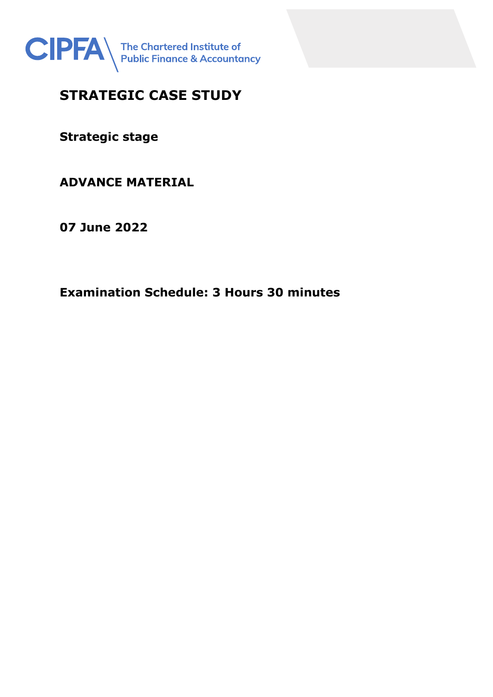

# **STRATEGIC CASE STUDY**

**Strategic stage**

# **ADVANCE MATERIAL**

**07 June 2022**

**Examination Schedule: 3 Hours 30 minutes**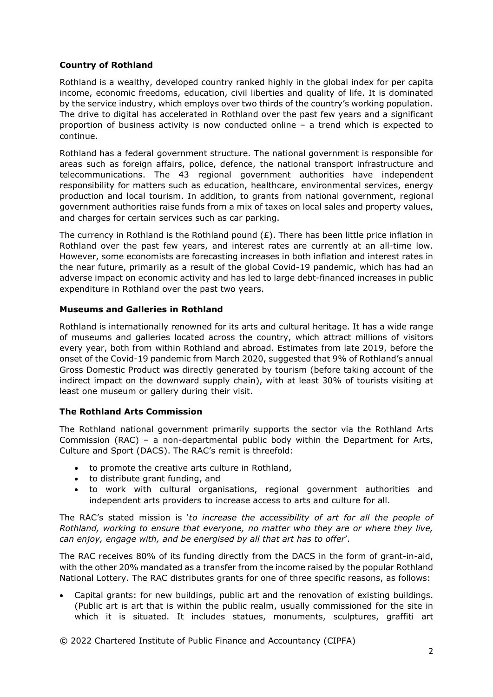## **Country of Rothland**

Rothland is a wealthy, developed country ranked highly in the global index for per capita income, economic freedoms, education, civil liberties and quality of life. It is dominated by the service industry, which employs over two thirds of the country's working population. The drive to digital has accelerated in Rothland over the past few years and a significant proportion of business activity is now conducted online – a trend which is expected to continue.

Rothland has a federal government structure. The national government is responsible for areas such as foreign affairs, police, defence, the national transport infrastructure and telecommunications. The 43 regional government authorities have independent responsibility for matters such as education, healthcare, environmental services, energy production and local tourism. In addition, to grants from national government, regional government authorities raise funds from a mix of taxes on local sales and property values, and charges for certain services such as car parking.

The currency in Rothland is the Rothland pound  $(E)$ . There has been little price inflation in Rothland over the past few years, and interest rates are currently at an all-time low. However, some economists are forecasting increases in both inflation and interest rates in the near future, primarily as a result of the global Covid-19 pandemic, which has had an adverse impact on economic activity and has led to large debt-financed increases in public expenditure in Rothland over the past two years.

## **Museums and Galleries in Rothland**

Rothland is internationally renowned for its arts and cultural heritage. It has a wide range of museums and galleries located across the country, which attract millions of visitors every year, both from within Rothland and abroad. Estimates from late 2019, before the onset of the Covid-19 pandemic from March 2020, suggested that 9% of Rothland's annual Gross Domestic Product was directly generated by tourism (before taking account of the indirect impact on the downward supply chain), with at least 30% of tourists visiting at least one museum or gallery during their visit.

# **The Rothland Arts Commission**

The Rothland national government primarily supports the sector via the Rothland Arts Commission (RAC) – a non-departmental public body within the Department for Arts, Culture and Sport (DACS). The RAC's remit is threefold:

- to promote the creative arts culture in Rothland,
- to distribute grant funding, and
- to work with cultural organisations, regional government authorities and independent arts providers to increase access to arts and culture for all.

The RAC's stated mission is '*to increase the accessibility of art for all the people of Rothland, working to ensure that everyone, no matter who they are or where they live, can enjoy, engage with, and be energised by all that art has to offer*'.

The RAC receives 80% of its funding directly from the DACS in the form of grant-in-aid, with the other 20% mandated as a transfer from the income raised by the popular Rothland National Lottery. The RAC distributes grants for one of three specific reasons, as follows:

• Capital grants: for new buildings, public art and the renovation of existing buildings. (Public art is art that is within the public realm, usually commissioned for the site in which it is situated. It includes statues, monuments, sculptures, graffiti art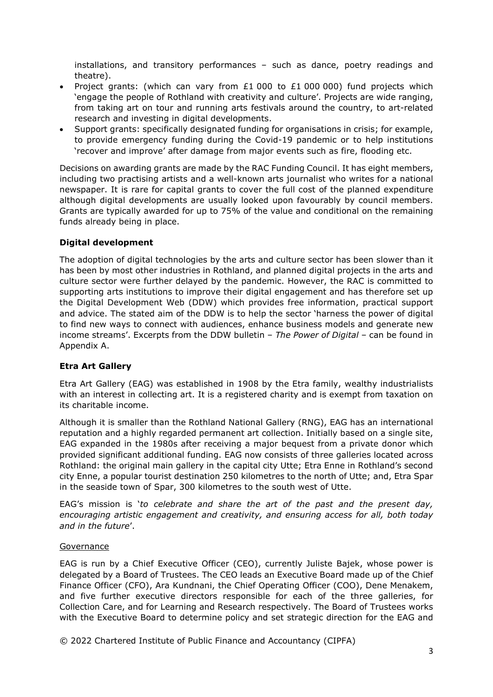installations, and transitory performances – such as dance, poetry readings and theatre).

- Project grants: (which can vary from £1 000 to £1 000 000) fund projects which 'engage the people of Rothland with creativity and culture'. Projects are wide ranging, from taking art on tour and running arts festivals around the country, to art-related research and investing in digital developments.
- Support grants: specifically designated funding for organisations in crisis; for example, to provide emergency funding during the Covid-19 pandemic or to help institutions 'recover and improve' after damage from major events such as fire, flooding etc.

Decisions on awarding grants are made by the RAC Funding Council. It has eight members, including two practising artists and a well-known arts journalist who writes for a national newspaper. It is rare for capital grants to cover the full cost of the planned expenditure although digital developments are usually looked upon favourably by council members. Grants are typically awarded for up to 75% of the value and conditional on the remaining funds already being in place.

#### **Digital development**

The adoption of digital technologies by the arts and culture sector has been slower than it has been by most other industries in Rothland, and planned digital projects in the arts and culture sector were further delayed by the pandemic. However, the RAC is committed to supporting arts institutions to improve their digital engagement and has therefore set up the Digital Development Web (DDW) which provides free information, practical support and advice. The stated aim of the DDW is to help the sector 'harness the power of digital to find new ways to connect with audiences, enhance business models and generate new income streams'. Excerpts from the DDW bulletin – *The Power of Digital* – can be found in Appendix A.

#### **Etra Art Gallery**

Etra Art Gallery (EAG) was established in 1908 by the Etra family, wealthy industrialists with an interest in collecting art. It is a registered charity and is exempt from taxation on its charitable income.

Although it is smaller than the Rothland National Gallery (RNG), EAG has an international reputation and a highly regarded permanent art collection. Initially based on a single site, EAG expanded in the 1980s after receiving a major bequest from a private donor which provided significant additional funding. EAG now consists of three galleries located across Rothland: the original main gallery in the capital city Utte; Etra Enne in Rothland's second city Enne, a popular tourist destination 250 kilometres to the north of Utte; and, Etra Spar in the seaside town of Spar, 300 kilometres to the south west of Utte.

EAG's mission is '*to celebrate and share the art of the past and the present day, encouraging artistic engagement and creativity, and ensuring access for all, both today and in the future*'.

#### Governance

EAG is run by a Chief Executive Officer (CEO), currently Juliste Bajek, whose power is delegated by a Board of Trustees. The CEO leads an Executive Board made up of the Chief Finance Officer (CFO), Ara Kundnani, the Chief Operating Officer (COO), Dene Menakem, and five further executive directors responsible for each of the three galleries, for Collection Care, and for Learning and Research respectively. The Board of Trustees works with the Executive Board to determine policy and set strategic direction for the EAG and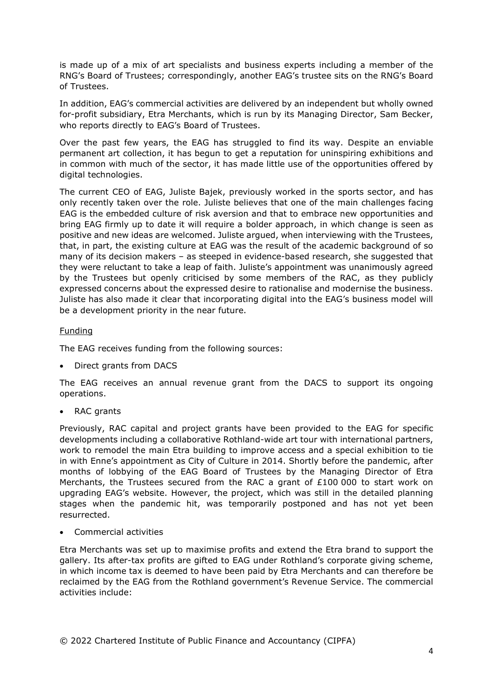is made up of a mix of art specialists and business experts including a member of the RNG's Board of Trustees; correspondingly, another EAG's trustee sits on the RNG's Board of Trustees.

In addition, EAG's commercial activities are delivered by an independent but wholly owned for-profit subsidiary, Etra Merchants, which is run by its Managing Director, Sam Becker, who reports directly to EAG's Board of Trustees.

Over the past few years, the EAG has struggled to find its way. Despite an enviable permanent art collection, it has begun to get a reputation for uninspiring exhibitions and in common with much of the sector, it has made little use of the opportunities offered by digital technologies.

The current CEO of EAG, Juliste Bajek, previously worked in the sports sector, and has only recently taken over the role. Juliste believes that one of the main challenges facing EAG is the embedded culture of risk aversion and that to embrace new opportunities and bring EAG firmly up to date it will require a bolder approach, in which change is seen as positive and new ideas are welcomed. Juliste argued, when interviewing with the Trustees, that, in part, the existing culture at EAG was the result of the academic background of so many of its decision makers – as steeped in evidence-based research, she suggested that they were reluctant to take a leap of faith. Juliste's appointment was unanimously agreed by the Trustees but openly criticised by some members of the RAC, as they publicly expressed concerns about the expressed desire to rationalise and modernise the business. Juliste has also made it clear that incorporating digital into the EAG's business model will be a development priority in the near future.

#### Funding

The EAG receives funding from the following sources:

• Direct grants from DACS

The EAG receives an annual revenue grant from the DACS to support its ongoing operations.

RAC grants

Previously, RAC capital and project grants have been provided to the EAG for specific developments including a collaborative Rothland-wide art tour with international partners, work to remodel the main Etra building to improve access and a special exhibition to tie in with Enne's appointment as City of Culture in 2014. Shortly before the pandemic, after months of lobbying of the EAG Board of Trustees by the Managing Director of Etra Merchants, the Trustees secured from the RAC a grant of £100 000 to start work on upgrading EAG's website. However, the project, which was still in the detailed planning stages when the pandemic hit, was temporarily postponed and has not yet been resurrected.

• Commercial activities

Etra Merchants was set up to maximise profits and extend the Etra brand to support the gallery. Its after-tax profits are gifted to EAG under Rothland's corporate giving scheme, in which income tax is deemed to have been paid by Etra Merchants and can therefore be reclaimed by the EAG from the Rothland government's Revenue Service. The commercial activities include: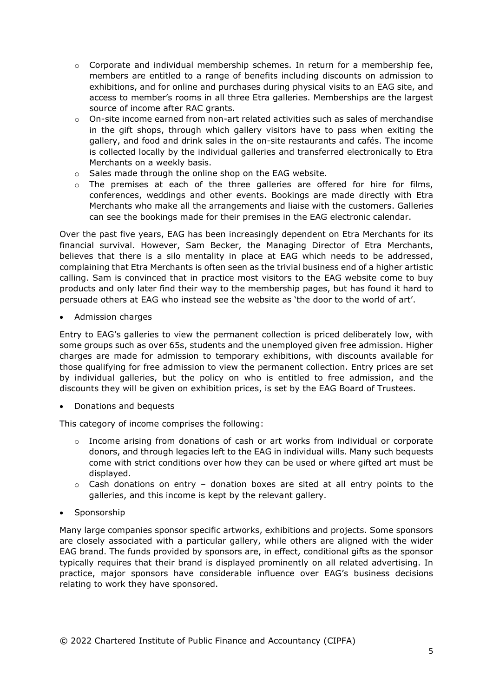- $\circ$  Corporate and individual membership schemes. In return for a membership fee, members are entitled to a range of benefits including discounts on admission to exhibitions, and for online and purchases during physical visits to an EAG site, and access to member's rooms in all three Etra galleries. Memberships are the largest source of income after RAC grants.
- $\circ$  On-site income earned from non-art related activities such as sales of merchandise in the gift shops, through which gallery visitors have to pass when exiting the gallery, and food and drink sales in the on-site restaurants and cafés. The income is collected locally by the individual galleries and transferred electronically to Etra Merchants on a weekly basis.
- o Sales made through the online shop on the EAG website.
- $\circ$  The premises at each of the three galleries are offered for hire for films, conferences, weddings and other events. Bookings are made directly with Etra Merchants who make all the arrangements and liaise with the customers. Galleries can see the bookings made for their premises in the EAG electronic calendar.

Over the past five years, EAG has been increasingly dependent on Etra Merchants for its financial survival. However, Sam Becker, the Managing Director of Etra Merchants, believes that there is a silo mentality in place at EAG which needs to be addressed, complaining that Etra Merchants is often seen as the trivial business end of a higher artistic calling. Sam is convinced that in practice most visitors to the EAG website come to buy products and only later find their way to the membership pages, but has found it hard to persuade others at EAG who instead see the website as 'the door to the world of art'.

• Admission charges

Entry to EAG's galleries to view the permanent collection is priced deliberately low, with some groups such as over 65s, students and the unemployed given free admission. Higher charges are made for admission to temporary exhibitions, with discounts available for those qualifying for free admission to view the permanent collection. Entry prices are set by individual galleries, but the policy on who is entitled to free admission, and the discounts they will be given on exhibition prices, is set by the EAG Board of Trustees.

• Donations and bequests

This category of income comprises the following:

- $\circ$  Income arising from donations of cash or art works from individual or corporate donors, and through legacies left to the EAG in individual wills. Many such bequests come with strict conditions over how they can be used or where gifted art must be displayed.
- o Cash donations on entry donation boxes are sited at all entry points to the galleries, and this income is kept by the relevant gallery.
- Sponsorship

Many large companies sponsor specific artworks, exhibitions and projects. Some sponsors are closely associated with a particular gallery, while others are aligned with the wider EAG brand. The funds provided by sponsors are, in effect, conditional gifts as the sponsor typically requires that their brand is displayed prominently on all related advertising. In practice, major sponsors have considerable influence over EAG's business decisions relating to work they have sponsored.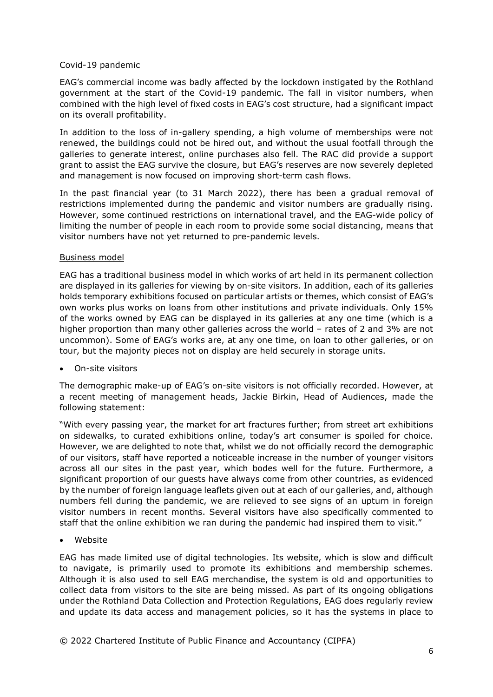#### Covid-19 pandemic

EAG's commercial income was badly affected by the lockdown instigated by the Rothland government at the start of the Covid-19 pandemic. The fall in visitor numbers, when combined with the high level of fixed costs in EAG's cost structure, had a significant impact on its overall profitability.

In addition to the loss of in-gallery spending, a high volume of memberships were not renewed, the buildings could not be hired out, and without the usual footfall through the galleries to generate interest, online purchases also fell. The RAC did provide a support grant to assist the EAG survive the closure, but EAG's reserves are now severely depleted and management is now focused on improving short-term cash flows.

In the past financial year (to 31 March 2022), there has been a gradual removal of restrictions implemented during the pandemic and visitor numbers are gradually rising. However, some continued restrictions on international travel, and the EAG-wide policy of limiting the number of people in each room to provide some social distancing, means that visitor numbers have not yet returned to pre-pandemic levels.

#### Business model

EAG has a traditional business model in which works of art held in its permanent collection are displayed in its galleries for viewing by on-site visitors. In addition, each of its galleries holds temporary exhibitions focused on particular artists or themes, which consist of EAG's own works plus works on loans from other institutions and private individuals. Only 15% of the works owned by EAG can be displayed in its galleries at any one time (which is a higher proportion than many other galleries across the world – rates of 2 and 3% are not uncommon). Some of EAG's works are, at any one time, on loan to other galleries, or on tour, but the majority pieces not on display are held securely in storage units.

• On-site visitors

The demographic make-up of EAG's on-site visitors is not officially recorded. However, at a recent meeting of management heads, Jackie Birkin, Head of Audiences, made the following statement:

"With every passing year, the market for art fractures further; from street art exhibitions on sidewalks, to curated exhibitions online, today's art consumer is spoiled for choice. However, we are delighted to note that, whilst we do not officially record the demographic of our visitors, staff have reported a noticeable increase in the number of younger visitors across all our sites in the past year, which bodes well for the future. Furthermore, a significant proportion of our guests have always come from other countries, as evidenced by the number of foreign language leaflets given out at each of our galleries, and, although numbers fell during the pandemic, we are relieved to see signs of an upturn in foreign visitor numbers in recent months. Several visitors have also specifically commented to staff that the online exhibition we ran during the pandemic had inspired them to visit."

• Website

EAG has made limited use of digital technologies. Its website, which is slow and difficult to navigate, is primarily used to promote its exhibitions and membership schemes. Although it is also used to sell EAG merchandise, the system is old and opportunities to collect data from visitors to the site are being missed. As part of its ongoing obligations under the Rothland Data Collection and Protection Regulations, EAG does regularly review and update its data access and management policies, so it has the systems in place to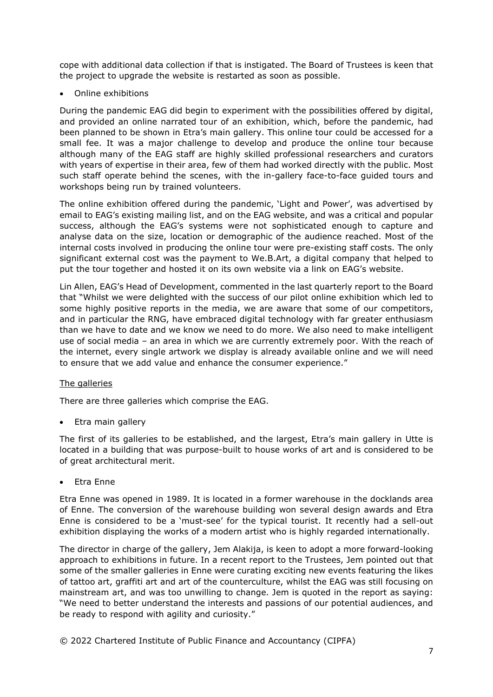cope with additional data collection if that is instigated. The Board of Trustees is keen that the project to upgrade the website is restarted as soon as possible.

• Online exhibitions

During the pandemic EAG did begin to experiment with the possibilities offered by digital, and provided an online narrated tour of an exhibition, which, before the pandemic, had been planned to be shown in Etra's main gallery. This online tour could be accessed for a small fee. It was a major challenge to develop and produce the online tour because although many of the EAG staff are highly skilled professional researchers and curators with years of expertise in their area, few of them had worked directly with the public. Most such staff operate behind the scenes, with the in-gallery face-to-face guided tours and workshops being run by trained volunteers.

The online exhibition offered during the pandemic, 'Light and Power', was advertised by email to EAG's existing mailing list, and on the EAG website, and was a critical and popular success, although the EAG's systems were not sophisticated enough to capture and analyse data on the size, location or demographic of the audience reached. Most of the internal costs involved in producing the online tour were pre-existing staff costs. The only significant external cost was the payment to We.B.Art, a digital company that helped to put the tour together and hosted it on its own website via a link on EAG's website.

Lin Allen, EAG's Head of Development, commented in the last quarterly report to the Board that "Whilst we were delighted with the success of our pilot online exhibition which led to some highly positive reports in the media, we are aware that some of our competitors, and in particular the RNG, have embraced digital technology with far greater enthusiasm than we have to date and we know we need to do more. We also need to make intelligent use of social media – an area in which we are currently extremely poor. With the reach of the internet, every single artwork we display is already available online and we will need to ensure that we add value and enhance the consumer experience."

#### The galleries

There are three galleries which comprise the EAG.

• Etra main gallery

The first of its galleries to be established, and the largest, Etra's main gallery in Utte is located in a building that was purpose-built to house works of art and is considered to be of great architectural merit.

• Etra Enne

Etra Enne was opened in 1989. It is located in a former warehouse in the docklands area of Enne. The conversion of the warehouse building won several design awards and Etra Enne is considered to be a 'must-see' for the typical tourist. It recently had a sell-out exhibition displaying the works of a modern artist who is highly regarded internationally.

The director in charge of the gallery, Jem Alakija, is keen to adopt a more forward-looking approach to exhibitions in future. In a recent report to the Trustees, Jem pointed out that some of the smaller galleries in Enne were curating exciting new events featuring the likes of tattoo art, graffiti art and art of the counterculture, whilst the EAG was still focusing on mainstream art, and was too unwilling to change. Jem is quoted in the report as saying: "We need to better understand the interests and passions of our potential audiences, and be ready to respond with agility and curiosity."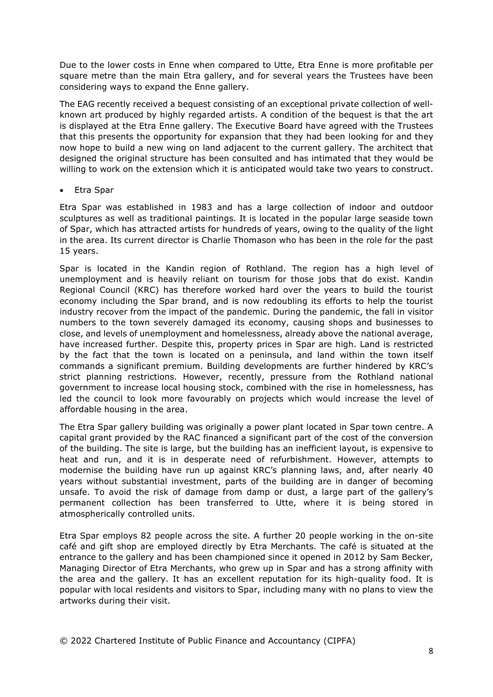Due to the lower costs in Enne when compared to Utte, Etra Enne is more profitable per square metre than the main Etra gallery, and for several years the Trustees have been considering ways to expand the Enne gallery.

The EAG recently received a bequest consisting of an exceptional private collection of wellknown art produced by highly regarded artists. A condition of the bequest is that the art is displayed at the Etra Enne gallery. The Executive Board have agreed with the Trustees that this presents the opportunity for expansion that they had been looking for and they now hope to build a new wing on land adjacent to the current gallery. The architect that designed the original structure has been consulted and has intimated that they would be willing to work on the extension which it is anticipated would take two years to construct.

• Etra Spar

Etra Spar was established in 1983 and has a large collection of indoor and outdoor sculptures as well as traditional paintings. It is located in the popular large seaside town of Spar, which has attracted artists for hundreds of years, owing to the quality of the light in the area. Its current director is Charlie Thomason who has been in the role for the past 15 years.

Spar is located in the Kandin region of Rothland. The region has a high level of unemployment and is heavily reliant on tourism for those jobs that do exist. Kandin Regional Council (KRC) has therefore worked hard over the years to build the tourist economy including the Spar brand, and is now redoubling its efforts to help the tourist industry recover from the impact of the pandemic. During the pandemic, the fall in visitor numbers to the town severely damaged its economy, causing shops and businesses to close, and levels of unemployment and homelessness, already above the national average, have increased further. Despite this, property prices in Spar are high. Land is restricted by the fact that the town is located on a peninsula, and land within the town itself commands a significant premium. Building developments are further hindered by KRC's strict planning restrictions. However, recently, pressure from the Rothland national government to increase local housing stock, combined with the rise in homelessness, has led the council to look more favourably on projects which would increase the level of affordable housing in the area.

The Etra Spar gallery building was originally a power plant located in Spar town centre. A capital grant provided by the RAC financed a significant part of the cost of the conversion of the building. The site is large, but the building has an inefficient layout, is expensive to heat and run, and it is in desperate need of refurbishment. However, attempts to modernise the building have run up against KRC's planning laws, and, after nearly 40 years without substantial investment, parts of the building are in danger of becoming unsafe. To avoid the risk of damage from damp or dust, a large part of the gallery's permanent collection has been transferred to Utte, where it is being stored in atmospherically controlled units.

Etra Spar employs 82 people across the site. A further 20 people working in the on-site café and gift shop are employed directly by Etra Merchants. The café is situated at the entrance to the gallery and has been championed since it opened in 2012 by Sam Becker, Managing Director of Etra Merchants, who grew up in Spar and has a strong affinity with the area and the gallery. It has an excellent reputation for its high-quality food. It is popular with local residents and visitors to Spar, including many with no plans to view the artworks during their visit.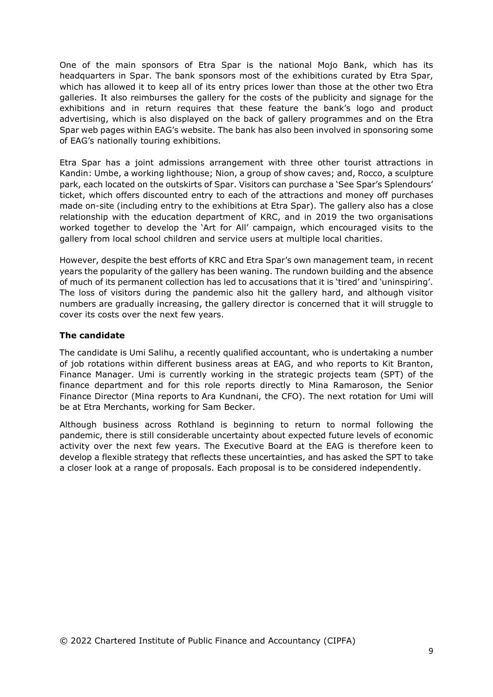One of the main sponsors of Etra Spar is the national Mojo Bank, which has its headquarters in Spar. The bank sponsors most of the exhibitions curated by Etra Spar, which has allowed it to keep all of its entry prices lower than those at the other two Etra galleries. It also reimburses the gallery for the costs of the publicity and signage for the exhibitions and in return requires that these feature the bank's logo and product advertising, which is also displayed on the back of gallery programmes and on the Etra Spar web pages within EAG's website. The bank has also been involved in sponsoring some of EAG's nationally touring exhibitions.

Etra Spar has a joint admissions arrangement with three other tourist attractions in Kandin: Umbe, a working lighthouse; Nion, a group of show caves; and, Rocco, a sculpture park, each located on the outskirts of Spar. Visitors can purchase a 'See Spar's Splendours' ticket, which offers discounted entry to each of the attractions and money off purchases made on-site (including entry to the exhibitions at Etra Spar). The gallery also has a close relationship with the education department of KRC, and in 2019 the two organisations worked together to develop the 'Art for All' campaign, which encouraged visits to the gallery from local school children and service users at multiple local charities.

However, despite the best efforts of KRC and Etra Spar's own management team, in recent years the popularity of the gallery has been waning. The rundown building and the absence of much of its permanent collection has led to accusations that it is 'tired' and 'uninspiring'. The loss of visitors during the pandemic also hit the gallery hard, and although visitor numbers are gradually increasing, the gallery director is concerned that it will struggle to cover its costs over the next few years.

#### **The candidate**

The candidate is Umi Salihu, a recently qualified accountant, who is undertaking a number of job rotations within different business areas at EAG, and who reports to Kit Branton, Finance Manager. Umi is currently working in the strategic projects team (SPT) of the finance department and for this role reports directly to Mina Ramaroson, the Senior Finance Director (Mina reports to Ara Kundnani, the CFO). The next rotation for Umi will be at Etra Merchants, working for Sam Becker.

Although business across Rothland is beginning to return to normal following the pandemic, there is still considerable uncertainty about expected future levels of economic activity over the next few years. The Executive Board at the EAG is therefore keen to develop a flexible strategy that reflects these uncertainties, and has asked the SPT to take a closer look at a range of proposals. Each proposal is to be considered independently.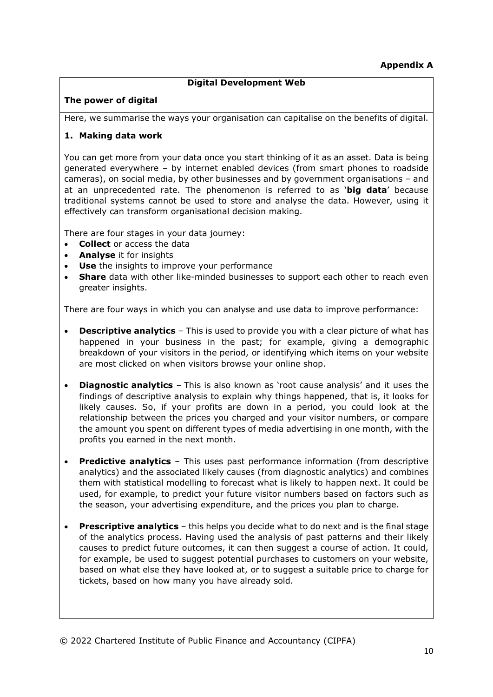# **Digital Development Web**

# **The power of digital**

Here, we summarise the ways your organisation can capitalise on the benefits of digital.

# **1. Making data work**

You can get more from your data once you start thinking of it as an asset. Data is being generated everywhere – by internet enabled devices (from smart phones to roadside cameras), on social media, by other businesses and by government organisations – and at an unprecedented rate. The phenomenon is referred to as '**big data**' because traditional systems cannot be used to store and analyse the data. However, using it effectively can transform organisational decision making.

There are four stages in your data journey:

- **Collect** or access the data
- **Analyse** it for insights
- **Use** the insights to improve your performance
- **Share** data with other like-minded businesses to support each other to reach even greater insights.

There are four ways in which you can analyse and use data to improve performance:

- **Descriptive analytics** This is used to provide you with a clear picture of what has happened in your business in the past; for example, giving a demographic breakdown of your visitors in the period, or identifying which items on your website are most clicked on when visitors browse your online shop.
- **Diagnostic analytics** This is also known as 'root cause analysis' and it uses the findings of descriptive analysis to explain why things happened, that is, it looks for likely causes. So, if your profits are down in a period, you could look at the relationship between the prices you charged and your visitor numbers, or compare the amount you spent on different types of media advertising in one month, with the profits you earned in the next month.
- **Predictive analytics** This uses past performance information (from descriptive analytics) and the associated likely causes (from diagnostic analytics) and combines them with statistical modelling to forecast what is likely to happen next. It could be used, for example, to predict your future visitor numbers based on factors such as the season, your advertising expenditure, and the prices you plan to charge.
- **Prescriptive analytics** this helps you decide what to do next and is the final stage of the analytics process. Having used the analysis of past patterns and their likely causes to predict future outcomes, it can then suggest a course of action. It could, for example, be used to suggest potential purchases to customers on your website, based on what else they have looked at, or to suggest a suitable price to charge for tickets, based on how many you have already sold.